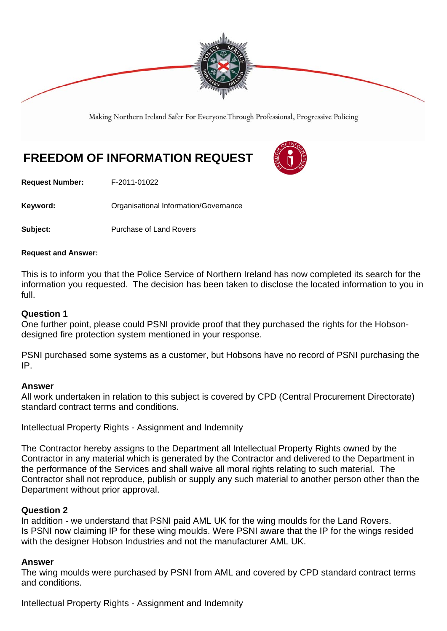

Making Northern Ireland Safer For Everyone Through Professional, Progressive Policing

# **FREEDOM OF INFORMATION REQUEST**



**Request Number:** F-2011-01022

**Keyword:** Organisational Information/Governance

**Subject:** Purchase of Land Rovers

#### **Request and Answer:**

This is to inform you that the Police Service of Northern Ireland has now completed its search for the information you requested. The decision has been taken to disclose the located information to you in full.

## **Question 1**

One further point, please could PSNI provide proof that they purchased the rights for the Hobsondesigned fire protection system mentioned in your response.

PSNI purchased some systems as a customer, but Hobsons have no record of PSNI purchasing the IP.

### **Answer**

All work undertaken in relation to this subject is covered by CPD (Central Procurement Directorate) standard contract terms and conditions.

Intellectual Property Rights - Assignment and Indemnity

The Contractor hereby assigns to the Department all Intellectual Property Rights owned by the Contractor in any material which is generated by the Contractor and delivered to the Department in the performance of the Services and shall waive all moral rights relating to such material. The Contractor shall not reproduce, publish or supply any such material to another person other than the Department without prior approval.

### **Question 2**

In addition - we understand that PSNI paid AML UK for the wing moulds for the Land Rovers. Is PSNI now claiming IP for these wing moulds. Were PSNI aware that the IP for the wings resided with the designer Hobson Industries and not the manufacturer AML UK.

### **Answer**

The wing moulds were purchased by PSNI from AML and covered by CPD standard contract terms and conditions.

Intellectual Property Rights - Assignment and Indemnity